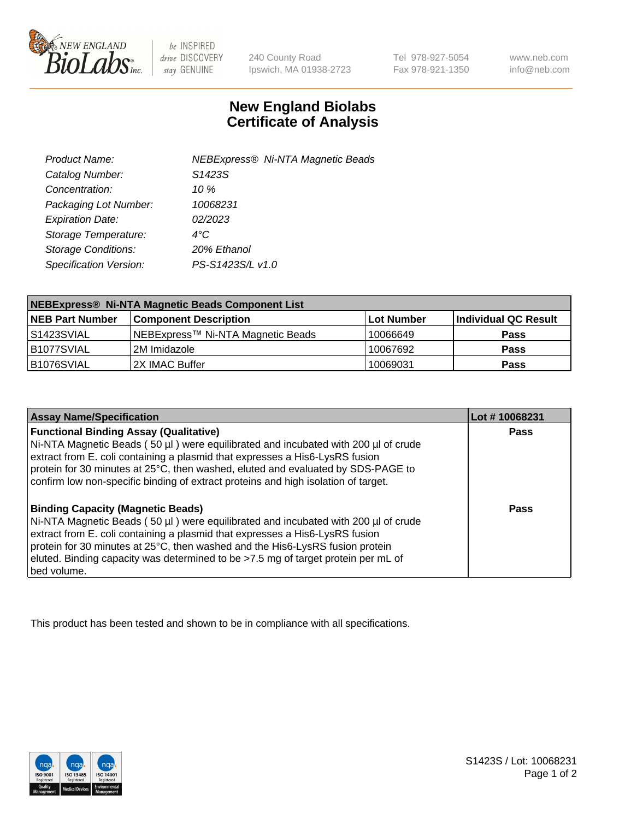

be INSPIRED drive DISCOVERY stay GENUINE

240 County Road Ipswich, MA 01938-2723 Tel 978-927-5054 Fax 978-921-1350

www.neb.com info@neb.com

## **New England Biolabs Certificate of Analysis**

| Product Name:              | <b>NEBExpress® Ni-NTA Magnetic Beads</b> |
|----------------------------|------------------------------------------|
| Catalog Number:            | S1423S                                   |
| Concentration:             | 10 $\%$                                  |
| Packaging Lot Number:      | 10068231                                 |
| <b>Expiration Date:</b>    | 02/2023                                  |
| Storage Temperature:       | $4^{\circ}$ C                            |
| <b>Storage Conditions:</b> | 20% Ethanol                              |
| Specification Version:     | PS-S1423S/L v1.0                         |
|                            |                                          |

| NEBExpress® Ni-NTA Magnetic Beads Component List |                                   |            |                      |  |
|--------------------------------------------------|-----------------------------------|------------|----------------------|--|
| <b>NEB Part Number</b>                           | <b>Component Description</b>      | Lot Number | Individual QC Result |  |
| l S1423SVIAL                                     | NEBExpress™ Ni-NTA Magnetic Beads | 10066649   | <b>Pass</b>          |  |
| B1077SVIAL                                       | 12M Imidazole                     | 10067692   | <b>Pass</b>          |  |
| B1076SVIAL                                       | 2X IMAC Buffer                    | 10069031   | <b>Pass</b>          |  |

| <b>Assay Name/Specification</b>                                                                                                                                                                                                                                                                                                                                                                     | Lot #10068231 |
|-----------------------------------------------------------------------------------------------------------------------------------------------------------------------------------------------------------------------------------------------------------------------------------------------------------------------------------------------------------------------------------------------------|---------------|
| <b>Functional Binding Assay (Qualitative)</b><br>Ni-NTA Magnetic Beads (50 µl) were equilibrated and incubated with 200 µl of crude<br>extract from E. coli containing a plasmid that expresses a His6-LysRS fusion<br>protein for 30 minutes at 25°C, then washed, eluted and evaluated by SDS-PAGE to<br>confirm low non-specific binding of extract proteins and high isolation of target.       | Pass          |
| <b>Binding Capacity (Magnetic Beads)</b><br>Ni-NTA Magnetic Beads (50 µl) were equilibrated and incubated with 200 µl of crude<br>extract from E. coli containing a plasmid that expresses a His6-LysRS fusion<br>protein for 30 minutes at 25°C, then washed and the His6-LysRS fusion protein<br>eluted. Binding capacity was determined to be >7.5 mg of target protein per mL of<br>bed volume. | Pass          |

This product has been tested and shown to be in compliance with all specifications.